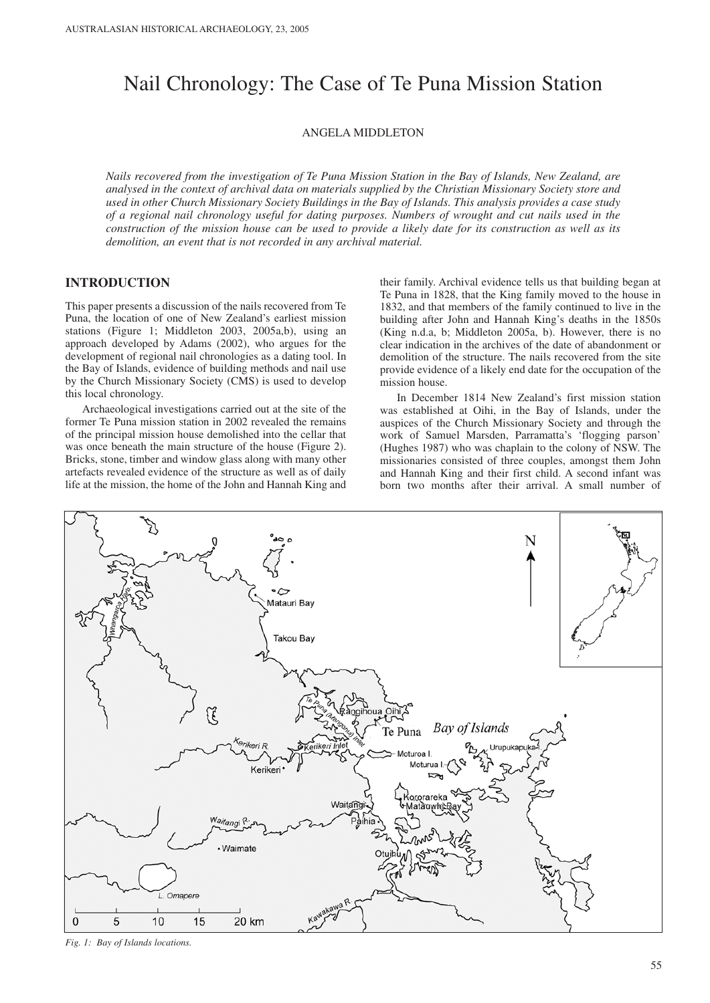# Nail Chronology: The Case of Te Puna Mission Station

ANGELA MIDDLETON

*Nails recovered from the investigation of Te Puna Mission Station in the Bay of Islands, New Zealand, are analysed in the context of archival data on materials supplied by the Christian Missionary Society store and used in other Church Missionary Society Buildings in the Bay of Islands. This analysis provides a case study of a regional nail chronology useful for dating purposes. Numbers of wrought and cut nails used in the construction of the mission house can be used to provide a likely date for its construction as well as its demolition, an event that is not recorded in any archival material.*

# **INTRODUCTION**

This paper presents a discussion of the nails recovered from Te Puna, the location of one of New Zealand's earliest mission stations (Figure 1; Middleton 2003, 2005a,b), using an approach developed by Adams (2002), who argues for the development of regional nail chronologies as a dating tool. In the Bay of Islands, evidence of building methods and nail use by the Church Missionary Society (CMS) is used to develop this local chronology.

Archaeological investigations carried out at the site of the former Te Puna mission station in 2002 revealed the remains of the principal mission house demolished into the cellar that was once beneath the main structure of the house (Figure 2). Bricks, stone, timber and window glass along with many other artefacts revealed evidence of the structure as well as of daily life at the mission, the home of the John and Hannah King and their family. Archival evidence tells us that building began at Te Puna in 1828, that the King family moved to the house in 1832, and that members of the family continued to live in the building after John and Hannah King's deaths in the 1850s (King n.d.a, b; Middleton 2005a, b). However, there is no clear indication in the archives of the date of abandonment or demolition of the structure. The nails recovered from the site provide evidence of a likely end date for the occupation of the mission house.

In December 1814 New Zealand's first mission station was established at Oihi, in the Bay of Islands, under the auspices of the Church Missionary Society and through the work of Samuel Marsden, Parramatta's 'flogging parson' (Hughes 1987) who was chaplain to the colony of NSW. The missionaries consisted of three couples, amongst them John and Hannah King and their first child. A second infant was born two months after their arrival. A small number of



*Fig. 1: Bay of Islands locations.*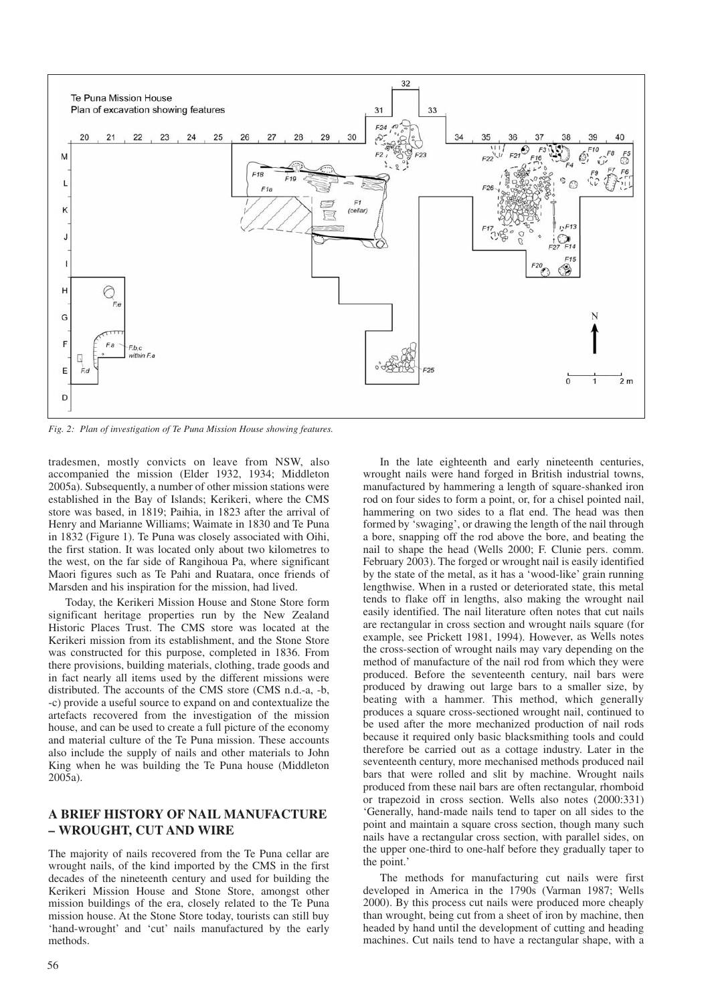

*Fig. 2: Plan of investigation of Te Puna Mission House showing features.*

tradesmen, mostly convicts on leave from NSW, also accompanied the mission (Elder 1932, 1934; Middleton 2005a). Subsequently, a number of other mission stations were established in the Bay of Islands; Kerikeri, where the CMS store was based, in 1819; Paihia, in 1823 after the arrival of Henry and Marianne Williams; Waimate in 1830 and Te Puna in 1832 (Figure 1). Te Puna was closely associated with Oihi, the first station. It was located only about two kilometres to the west, on the far side of Rangihoua Pa, where significant Maori figures such as Te Pahi and Ruatara, once friends of Marsden and his inspiration for the mission, had lived.

Today, the Kerikeri Mission House and Stone Store form significant heritage properties run by the New Zealand Historic Places Trust. The CMS store was located at the Kerikeri mission from its establishment, and the Stone Store was constructed for this purpose, completed in 1836. From there provisions, building materials, clothing, trade goods and in fact nearly all items used by the different missions were distributed. The accounts of the CMS store (CMS n.d.-a, -b, -c) provide a useful source to expand on and contextualize the artefacts recovered from the investigation of the mission house, and can be used to create a full picture of the economy and material culture of the Te Puna mission. These accounts also include the supply of nails and other materials to John King when he was building the Te Puna house (Middleton 2005a).

## **A BRIEF HISTORY OF NAIL MANUFACTURE – WROUGHT, CUT AND WIRE**

The majority of nails recovered from the Te Puna cellar are wrought nails, of the kind imported by the CMS in the first decades of the nineteenth century and used for building the Kerikeri Mission House and Stone Store, amongst other mission buildings of the era, closely related to the Te Puna mission house. At the Stone Store today, tourists can still buy 'hand-wrought' and 'cut' nails manufactured by the early methods.

In the late eighteenth and early nineteenth centuries, wrought nails were hand forged in British industrial towns, manufactured by hammering a length of square-shanked iron rod on four sides to form a point, or, for a chisel pointed nail, hammering on two sides to a flat end. The head was then formed by 'swaging', or drawing the length of the nail through a bore, snapping off the rod above the bore, and beating the nail to shape the head (Wells 2000; F. Clunie pers. comm. February 2003). The forged or wrought nail is easily identified by the state of the metal, as it has a 'wood-like' grain running lengthwise. When in a rusted or deteriorated state, this metal tends to flake off in lengths, also making the wrought nail easily identified. The nail literature often notes that cut nails are rectangular in cross section and wrought nails square (for example, see Prickett 1981, 1994). However, as Wells notes the cross-section of wrought nails may vary depending on the method of manufacture of the nail rod from which they were produced. Before the seventeenth century, nail bars were produced by drawing out large bars to a smaller size, by beating with a hammer. This method, which generally produces a square cross-sectioned wrought nail, continued to be used after the more mechanized production of nail rods because it required only basic blacksmithing tools and could therefore be carried out as a cottage industry. Later in the seventeenth century, more mechanised methods produced nail bars that were rolled and slit by machine. Wrought nails produced from these nail bars are often rectangular, rhomboid or trapezoid in cross section. Wells also notes (2000:331) 'Generally, hand-made nails tend to taper on all sides to the point and maintain a square cross section, though many such nails have a rectangular cross section, with parallel sides, on the upper one-third to one-half before they gradually taper to the point.'

The methods for manufacturing cut nails were first developed in America in the 1790s (Varman 1987; Wells 2000). By this process cut nails were produced more cheaply than wrought, being cut from a sheet of iron by machine, then headed by hand until the development of cutting and heading machines. Cut nails tend to have a rectangular shape, with a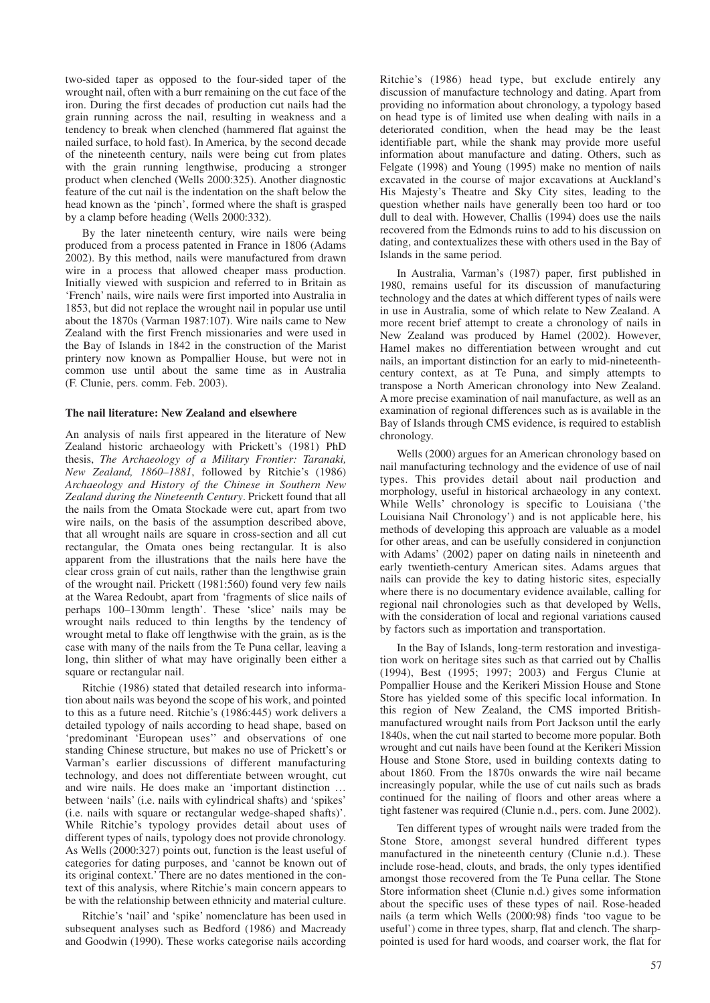two-sided taper as opposed to the four-sided taper of the wrought nail, often with a burr remaining on the cut face of the iron. During the first decades of production cut nails had the grain running across the nail, resulting in weakness and a tendency to break when clenched (hammered flat against the nailed surface, to hold fast). In America, by the second decade of the nineteenth century, nails were being cut from plates with the grain running lengthwise, producing a stronger product when clenched (Wells 2000:325). Another diagnostic feature of the cut nail is the indentation on the shaft below the head known as the 'pinch', formed where the shaft is grasped by a clamp before heading (Wells 2000:332).

By the later nineteenth century, wire nails were being produced from a process patented in France in 1806 (Adams 2002). By this method, nails were manufactured from drawn wire in a process that allowed cheaper mass production. Initially viewed with suspicion and referred to in Britain as 'French' nails, wire nails were first imported into Australia in 1853, but did not replace the wrought nail in popular use until about the 1870s (Varman 1987:107). Wire nails came to New Zealand with the first French missionaries and were used in the Bay of Islands in 1842 in the construction of the Marist printery now known as Pompallier House, but were not in common use until about the same time as in Australia (F. Clunie, pers. comm. Feb. 2003).

#### **The nail literature: New Zealand and elsewhere**

An analysis of nails first appeared in the literature of New Zealand historic archaeology with Prickett's (1981) PhD thesis, *The Archaeology of a Military Frontier: Taranaki, New Zealand, 1860–1881*, followed by Ritchie's (1986) *Archaeology and History of the Chinese in Southern New Zealand during the Nineteenth Century*. Prickett found that all the nails from the Omata Stockade were cut, apart from two wire nails, on the basis of the assumption described above, that all wrought nails are square in cross-section and all cut rectangular, the Omata ones being rectangular. It is also apparent from the illustrations that the nails here have the clear cross grain of cut nails, rather than the lengthwise grain of the wrought nail. Prickett (1981:560) found very few nails at the Warea Redoubt, apart from 'fragments of slice nails of perhaps 100–130mm length'. These 'slice' nails may be wrought nails reduced to thin lengths by the tendency of wrought metal to flake off lengthwise with the grain, as is the case with many of the nails from the Te Puna cellar, leaving a long, thin slither of what may have originally been either a square or rectangular nail.

Ritchie (1986) stated that detailed research into information about nails was beyond the scope of his work, and pointed to this as a future need. Ritchie's (1986:445) work delivers a detailed typology of nails according to head shape, based on 'predominant 'European uses'' and observations of one standing Chinese structure, but makes no use of Prickett's or Varman's earlier discussions of different manufacturing technology, and does not differentiate between wrought, cut and wire nails. He does make an 'important distinction … between 'nails' (i.e. nails with cylindrical shafts) and 'spikes' (i.e. nails with square or rectangular wedge-shaped shafts)'. While Ritchie's typology provides detail about uses of different types of nails, typology does not provide chronology. As Wells (2000:327) points out, function is the least useful of categories for dating purposes, and 'cannot be known out of its original context.' There are no dates mentioned in the context of this analysis, where Ritchie's main concern appears to be with the relationship between ethnicity and material culture.

Ritchie's 'nail' and 'spike' nomenclature has been used in subsequent analyses such as Bedford (1986) and Macready and Goodwin (1990). These works categorise nails according

Ritchie's (1986) head type, but exclude entirely any discussion of manufacture technology and dating. Apart from providing no information about chronology, a typology based on head type is of limited use when dealing with nails in a deteriorated condition, when the head may be the least identifiable part, while the shank may provide more useful information about manufacture and dating. Others, such as Felgate (1998) and Young (1995) make no mention of nails excavated in the course of major excavations at Auckland's His Majesty's Theatre and Sky City sites, leading to the question whether nails have generally been too hard or too dull to deal with. However, Challis (1994) does use the nails recovered from the Edmonds ruins to add to his discussion on dating, and contextualizes these with others used in the Bay of Islands in the same period.

In Australia, Varman's (1987) paper, first published in 1980, remains useful for its discussion of manufacturing technology and the dates at which different types of nails were in use in Australia, some of which relate to New Zealand. A more recent brief attempt to create a chronology of nails in New Zealand was produced by Hamel (2002). However, Hamel makes no differentiation between wrought and cut nails, an important distinction for an early to mid-nineteenthcentury context, as at Te Puna, and simply attempts to transpose a North American chronology into New Zealand. A more precise examination of nail manufacture, as well as an examination of regional differences such as is available in the Bay of Islands through CMS evidence, is required to establish chronology.

Wells (2000) argues for an American chronology based on nail manufacturing technology and the evidence of use of nail types. This provides detail about nail production and morphology, useful in historical archaeology in any context. While Wells' chronology is specific to Louisiana ('the Louisiana Nail Chronology') and is not applicable here, his methods of developing this approach are valuable as a model for other areas, and can be usefully considered in conjunction with Adams' (2002) paper on dating nails in nineteenth and early twentieth-century American sites. Adams argues that nails can provide the key to dating historic sites, especially where there is no documentary evidence available, calling for regional nail chronologies such as that developed by Wells, with the consideration of local and regional variations caused by factors such as importation and transportation.

In the Bay of Islands, long-term restoration and investigation work on heritage sites such as that carried out by Challis (1994), Best (1995; 1997; 2003) and Fergus Clunie at Pompallier House and the Kerikeri Mission House and Stone Store has yielded some of this specific local information. In this region of New Zealand, the CMS imported Britishmanufactured wrought nails from Port Jackson until the early 1840s, when the cut nail started to become more popular. Both wrought and cut nails have been found at the Kerikeri Mission House and Stone Store, used in building contexts dating to about 1860. From the 1870s onwards the wire nail became increasingly popular, while the use of cut nails such as brads continued for the nailing of floors and other areas where a tight fastener was required (Clunie n.d., pers. com. June 2002).

Ten different types of wrought nails were traded from the Stone Store, amongst several hundred different types manufactured in the nineteenth century (Clunie n.d.). These include rose-head, clouts, and brads, the only types identified amongst those recovered from the Te Puna cellar. The Stone Store information sheet (Clunie n.d.) gives some information about the specific uses of these types of nail. Rose-headed nails (a term which Wells (2000:98) finds 'too vague to be useful') come in three types, sharp, flat and clench. The sharppointed is used for hard woods, and coarser work, the flat for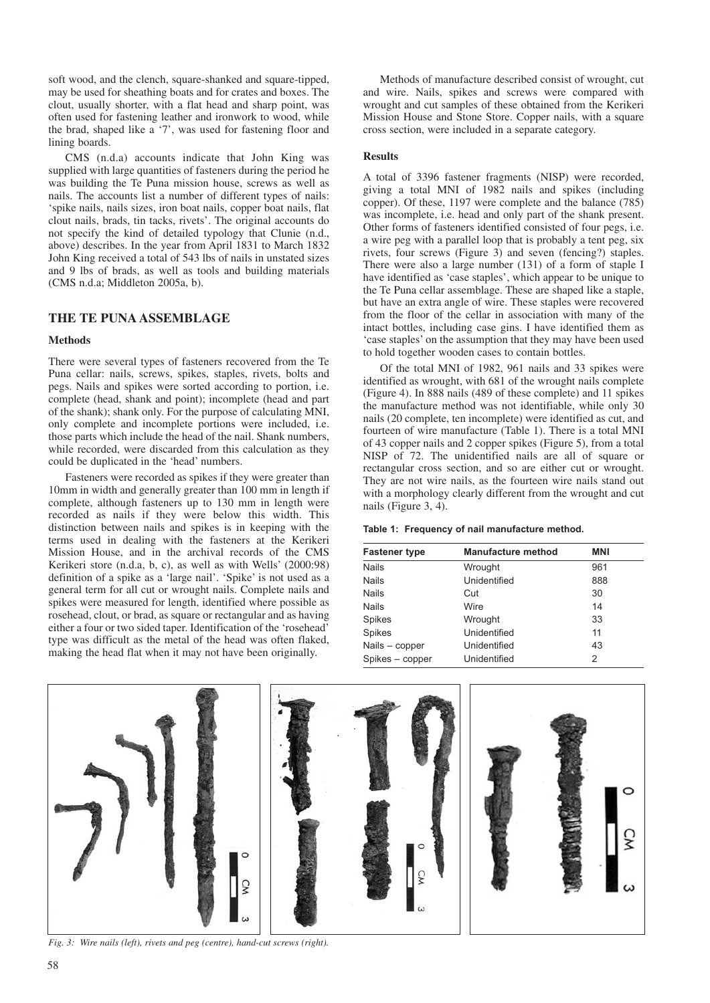soft wood, and the clench, square-shanked and square-tipped, may be used for sheathing boats and for crates and boxes. The clout, usually shorter, with a flat head and sharp point, was often used for fastening leather and ironwork to wood, while the brad, shaped like a '7', was used for fastening floor and lining boards.

CMS (n.d.a) accounts indicate that John King was supplied with large quantities of fasteners during the period he was building the Te Puna mission house, screws as well as nails. The accounts list a number of different types of nails: 'spike nails, nails sizes, iron boat nails, copper boat nails, flat clout nails, brads, tin tacks, rivets'. The original accounts do not specify the kind of detailed typology that Clunie (n.d., above) describes. In the year from April 1831 to March 1832 John King received a total of 543 lbs of nails in unstated sizes and 9 lbs of brads, as well as tools and building materials (CMS n.d.a; Middleton 2005a, b).

## **THE TE PUNA ASSEMBLAGE**

#### **Methods**

There were several types of fasteners recovered from the Te Puna cellar: nails, screws, spikes, staples, rivets, bolts and pegs. Nails and spikes were sorted according to portion, i.e. complete (head, shank and point); incomplete (head and part of the shank); shank only. For the purpose of calculating MNI, only complete and incomplete portions were included, i.e. those parts which include the head of the nail. Shank numbers, while recorded, were discarded from this calculation as they could be duplicated in the 'head' numbers.

Fasteners were recorded as spikes if they were greater than 10mm in width and generally greater than 100 mm in length if complete, although fasteners up to 130 mm in length were recorded as nails if they were below this width. This distinction between nails and spikes is in keeping with the terms used in dealing with the fasteners at the Kerikeri Mission House, and in the archival records of the CMS Kerikeri store (n.d.a, b, c), as well as with Wells' (2000:98) definition of a spike as a 'large nail'. 'Spike' is not used as a general term for all cut or wrought nails. Complete nails and spikes were measured for length, identified where possible as rosehead, clout, or brad, as square or rectangular and as having either a four or two sided taper. Identification of the 'rosehead' type was difficult as the metal of the head was often flaked, making the head flat when it may not have been originally.

Methods of manufacture described consist of wrought, cut and wire. Nails, spikes and screws were compared with wrought and cut samples of these obtained from the Kerikeri Mission House and Stone Store. Copper nails, with a square cross section, were included in a separate category.

#### **Results**

A total of 3396 fastener fragments (NISP) were recorded, giving a total MNI of 1982 nails and spikes (including copper). Of these, 1197 were complete and the balance (785) was incomplete, i.e. head and only part of the shank present. Other forms of fasteners identified consisted of four pegs, i.e. a wire peg with a parallel loop that is probably a tent peg, six rivets, four screws (Figure 3) and seven (fencing?) staples. There were also a large number (131) of a form of staple I have identified as 'case staples', which appear to be unique to the Te Puna cellar assemblage. These are shaped like a staple, but have an extra angle of wire. These staples were recovered from the floor of the cellar in association with many of the intact bottles, including case gins. I have identified them as 'case staples' on the assumption that they may have been used to hold together wooden cases to contain bottles.

Of the total MNI of 1982, 961 nails and 33 spikes were identified as wrought, with 681 of the wrought nails complete (Figure 4). In 888 nails (489 of these complete) and 11 spikes the manufacture method was not identifiable, while only 30 nails (20 complete, ten incomplete) were identified as cut, and fourteen of wire manufacture (Table 1). There is a total MNI of 43 copper nails and 2 copper spikes (Figure 5), from a total NISP of 72. The unidentified nails are all of square or rectangular cross section, and so are either cut or wrought. They are not wire nails, as the fourteen wire nails stand out with a morphology clearly different from the wrought and cut nails (Figure 3, 4).

|  | Table 1: Frequency of nail manufacture method. |  |
|--|------------------------------------------------|--|
|  |                                                |  |

| <b>Fastener type</b> | <b>Manufacture method</b> | <b>MNI</b> |
|----------------------|---------------------------|------------|
| <b>Nails</b>         | Wrought                   | 961        |
| <b>Nails</b>         | Unidentified              | 888        |
| <b>Nails</b>         | Cut                       | 30         |
| <b>Nails</b>         | Wire                      | 14         |
| <b>Spikes</b>        | Wrought                   | 33         |
| <b>Spikes</b>        | Unidentified              | 11         |
| Nails - copper       | Unidentified              | 43         |
| Spikes - copper      | Unidentified              | 2          |



*Fig. 3: Wire nails (left), rivets and peg (centre), hand-cut screws (right).*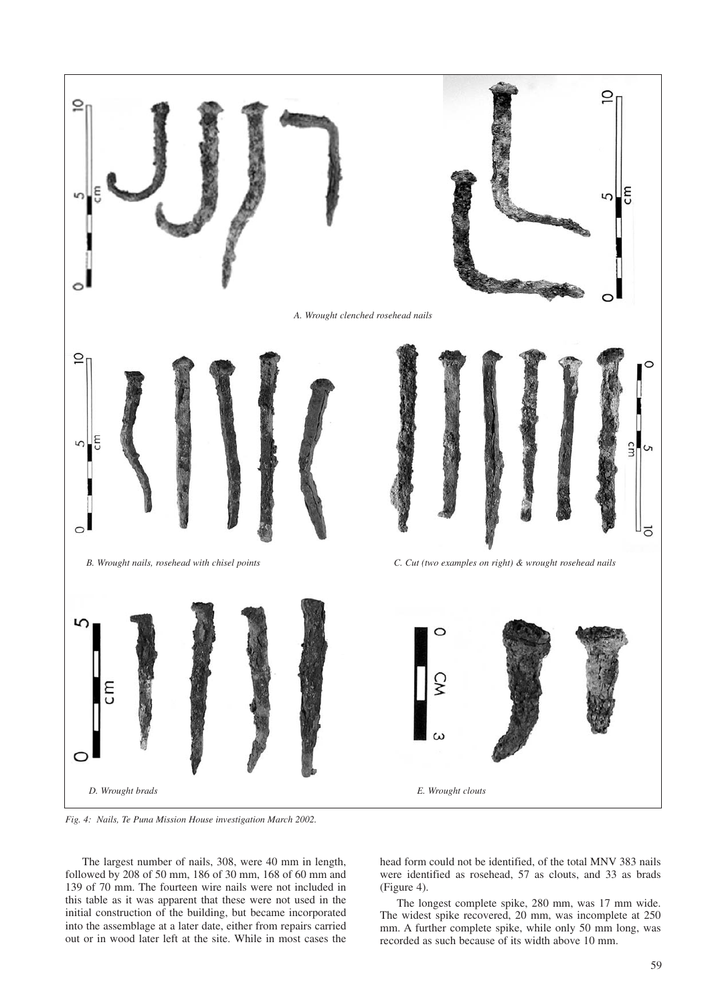

*Fig. 4: Nails, Te Puna Mission House investigation March 2002.*

The largest number of nails, 308, were 40 mm in length, followed by 208 of 50 mm, 186 of 30 mm, 168 of 60 mm and 139 of 70 mm. The fourteen wire nails were not included in this table as it was apparent that these were not used in the initial construction of the building, but became incorporated into the assemblage at a later date, either from repairs carried out or in wood later left at the site. While in most cases the

head form could not be identified, of the total MNV 383 nails were identified as rosehead, 57 as clouts, and 33 as brads (Figure 4).

The longest complete spike, 280 mm, was 17 mm wide. The widest spike recovered, 20 mm, was incomplete at 250 mm. A further complete spike, while only 50 mm long, was recorded as such because of its width above 10 mm.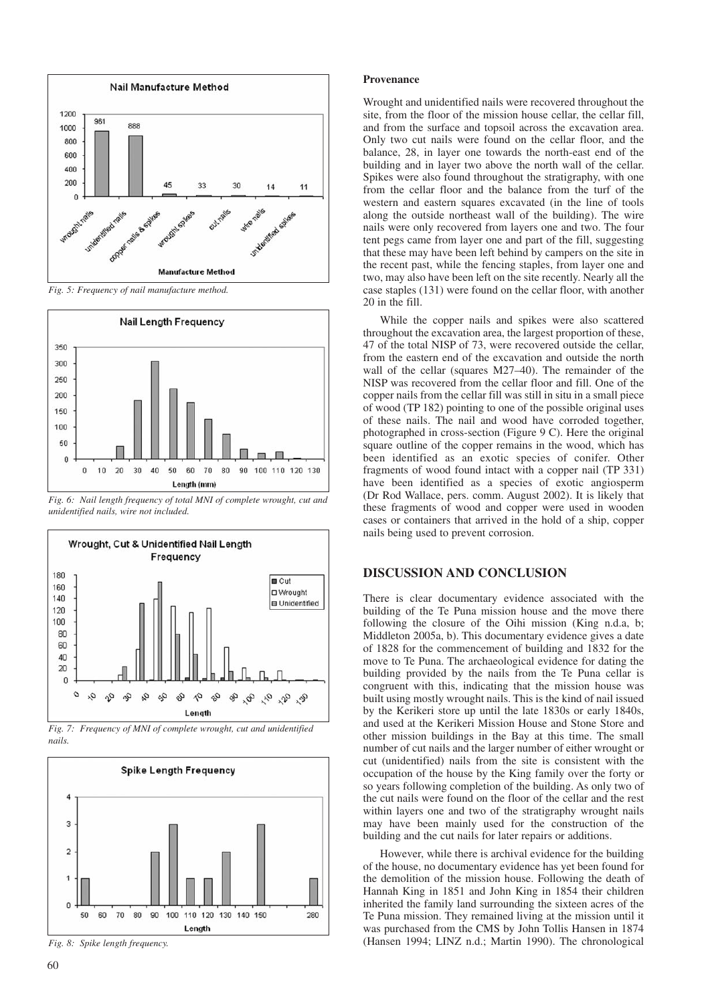

*Fig. 5: Frequency of nail manufacture method.*



*Fig. 6: Nail length frequency of total MNI of complete wrought, cut and unidentified nails, wire not included.*



*Fig. 7: Frequency of MNI of complete wrought, cut and unidentified nails.*



*Fig. 8: Spike length frequency.*

#### **Provenance**

Wrought and unidentified nails were recovered throughout the site, from the floor of the mission house cellar, the cellar fill, and from the surface and topsoil across the excavation area. Only two cut nails were found on the cellar floor, and the balance, 28, in layer one towards the north-east end of the building and in layer two above the north wall of the cellar. Spikes were also found throughout the stratigraphy, with one from the cellar floor and the balance from the turf of the western and eastern squares excavated (in the line of tools along the outside northeast wall of the building). The wire nails were only recovered from layers one and two. The four tent pegs came from layer one and part of the fill, suggesting that these may have been left behind by campers on the site in the recent past, while the fencing staples, from layer one and two, may also have been left on the site recently. Nearly all the case staples (131) were found on the cellar floor, with another 20 in the fill.

While the copper nails and spikes were also scattered throughout the excavation area, the largest proportion of these, 47 of the total NISP of 73, were recovered outside the cellar, from the eastern end of the excavation and outside the north wall of the cellar (squares M27–40). The remainder of the NISP was recovered from the cellar floor and fill. One of the copper nails from the cellar fill was still in situ in a small piece of wood (TP 182) pointing to one of the possible original uses of these nails. The nail and wood have corroded together, photographed in cross-section (Figure 9 C). Here the original square outline of the copper remains in the wood, which has been identified as an exotic species of conifer. Other fragments of wood found intact with a copper nail (TP 331) have been identified as a species of exotic angiosperm (Dr Rod Wallace, pers. comm. August 2002). It is likely that these fragments of wood and copper were used in wooden cases or containers that arrived in the hold of a ship, copper nails being used to prevent corrosion.

## **DISCUSSION AND CONCLUSION**

There is clear documentary evidence associated with the building of the Te Puna mission house and the move there following the closure of the Oihi mission (King n.d.a, b; Middleton 2005a, b). This documentary evidence gives a date of 1828 for the commencement of building and 1832 for the move to Te Puna. The archaeological evidence for dating the building provided by the nails from the Te Puna cellar is congruent with this, indicating that the mission house was built using mostly wrought nails. This is the kind of nail issued by the Kerikeri store up until the late 1830s or early 1840s, and used at the Kerikeri Mission House and Stone Store and other mission buildings in the Bay at this time. The small number of cut nails and the larger number of either wrought or cut (unidentified) nails from the site is consistent with the occupation of the house by the King family over the forty or so years following completion of the building. As only two of the cut nails were found on the floor of the cellar and the rest within layers one and two of the stratigraphy wrought nails may have been mainly used for the construction of the building and the cut nails for later repairs or additions.

However, while there is archival evidence for the building of the house, no documentary evidence has yet been found for the demolition of the mission house. Following the death of Hannah King in 1851 and John King in 1854 their children inherited the family land surrounding the sixteen acres of the Te Puna mission. They remained living at the mission until it was purchased from the CMS by John Tollis Hansen in 1874 (Hansen 1994; LINZ n.d.; Martin 1990). The chronological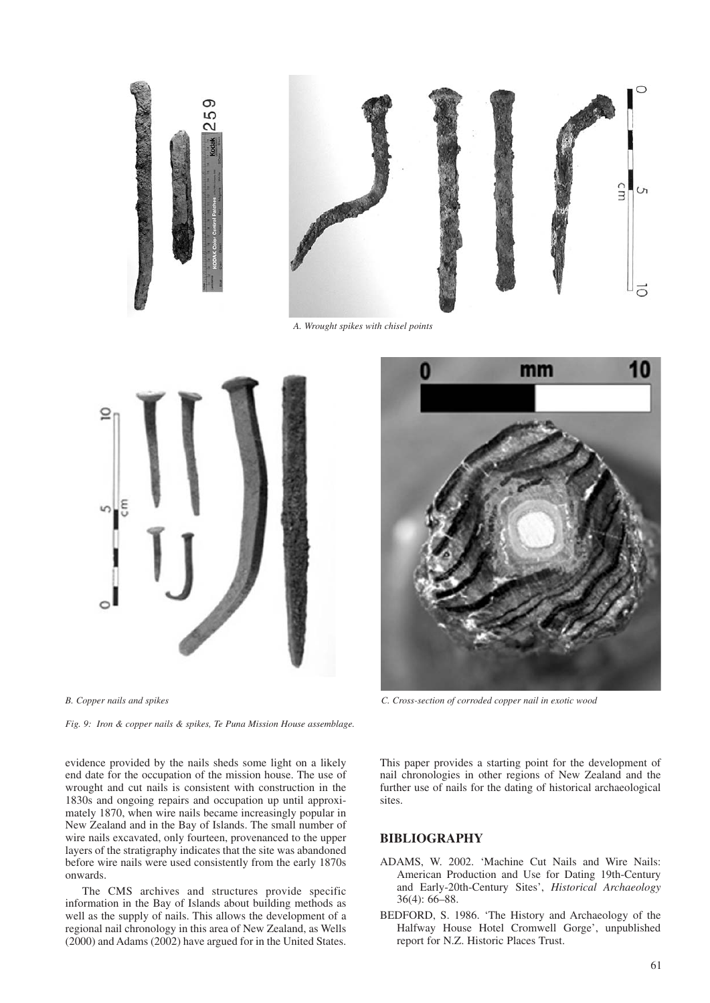



*A. Wrought spikes with chisel points*



*Fig. 9: Iron & copper nails & spikes, Te Puna Mission House assemblage.*

evidence provided by the nails sheds some light on a likely end date for the occupation of the mission house. The use of wrought and cut nails is consistent with construction in the 1830s and ongoing repairs and occupation up until approximately 1870, when wire nails became increasingly popular in New Zealand and in the Bay of Islands. The small number of wire nails excavated, only fourteen, provenanced to the upper layers of the stratigraphy indicates that the site was abandoned before wire nails were used consistently from the early 1870s onwards.

The CMS archives and structures provide specific information in the Bay of Islands about building methods as well as the supply of nails. This allows the development of a regional nail chronology in this area of New Zealand, as Wells (2000) and Adams (2002) have argued for in the United States.



*B. Copper nails and spikes C. Cross-section of corroded copper nail in exotic wood*

This paper provides a starting point for the development of nail chronologies in other regions of New Zealand and the further use of nails for the dating of historical archaeological sites.

#### **BIBLIOGRAPHY**

- ADAMS, W. 2002. 'Machine Cut Nails and Wire Nails: American Production and Use for Dating 19th-Century and Early-20th-Century Sites', *Historical Archaeology* 36(4): 66–88.
- BEDFORD, S. 1986. 'The History and Archaeology of the Halfway House Hotel Cromwell Gorge', unpublished report for N.Z. Historic Places Trust.